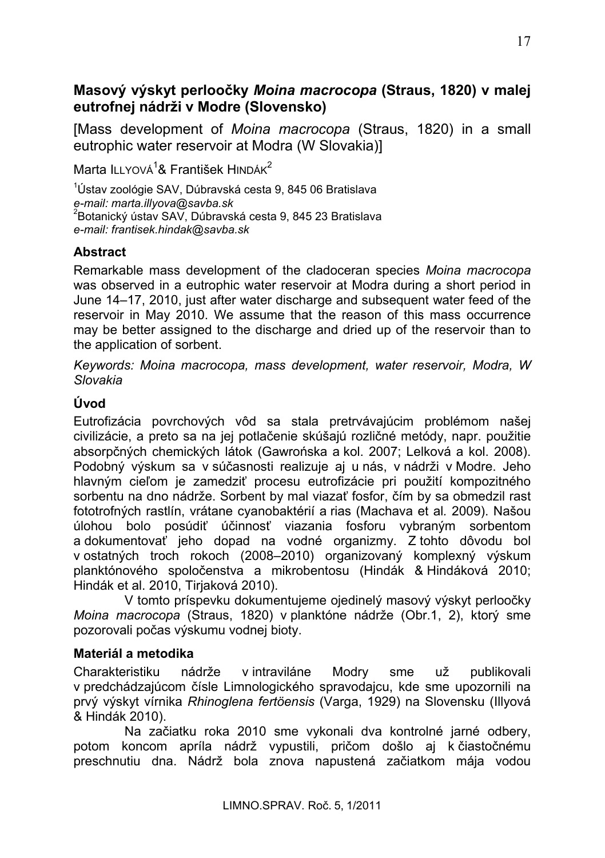# Masový výskyt perloočky Moina macrocopa (Straus, 1820) v malej eutrofnej nádrži v Modre (Slovensko)

[Mass development of Moina macrocopa (Straus, 1820) in a small eutrophic water reservoir at Modra (W Slovakia)]

Marta II I YOVÁ<sup>1</sup>& František HINDÁK<sup>2</sup>

<sup>1</sup>Ústav zoológie SAV. Dúbravská cesta 9. 845 06 Bratislava e-mail: marta.illyova@savba.sk <sup>2</sup>Botanický ústav SAV, Dúbravská cesta 9, 845 23 Bratislava e-mail: frantisek.hindak@savba.sk

## **Abstract**

Remarkable mass development of the cladoceran species Moina macrocopa was observed in a eutrophic water reservoir at Modra during a short period in June 14–17, 2010, just after water discharge and subsequent water feed of the reservoir in May 2010. We assume that the reason of this mass occurrence may be better assigned to the discharge and dried up of the reservoir than to the application of sorbent.

Keywords: Moina macrocopa, mass development, water reservoir, Modra, W Slovakia

# Úvod

Eutrofizácia povrchových vôd sa stala pretrvávajúcim problémom našej civilizácie, a preto sa na jej potlačenie skúšajú rozličné metódy, napr. použitie absorpčných chemických látok (Gawrońska a kol. 2007; Lelková a kol. 2008). Podobný výskum sa v súčasnosti realizuje aj u nás, v nádrži v Modre. Jeho hlavným cieľom je zamedziť procesu eutrofizácie pri použití kompozitného sorbentu na dno nádrže. Sorbent by mal viazať fosfor, čím by sa obmedzil rast fototrofných rastlín, vrátane cyanobaktérií a rias (Machava et al. 2009). Našou úlohou bolo posúdiť účinnosť viazania fosforu vybraným sorbentom a dokumentovať jeho dopad na vodné organizmy. Z tohto dôvodu bol v ostatných troch rokoch (2008–2010) organizovaný komplexný výskum planktónového spoločenstva a mikrobentosu (Hindák & Hindáková 2010; Hindák et al. 2010, Tirjaková 2010).

V tomto príspevku dokumentujeme ojedinelý masový výskyt perloočky Moina macrocopa (Straus, 1820) v planktóne nádrže (Obr.1, 2), ktorý sme pozorovali počas výskumu vodnej bioty.

#### Materiál a metodika

Charakteristiku nádrže v intraviláne Modrv sme UŽ publikovali v predchádzajúcom čísle Limnologického spravodajcu, kde sme upozornili na prvý výskyt vírnika Rhinoglena fertőensis (Varga, 1929) na Slovensku (Illvová & Hindák 2010).

Na začiatku roka 2010 sme vykonali dva kontrolné jarné odbery, potom koncom apríla nádrž vypustili, pričom došlo aj k čiastočnému preschnutiu dna. Nádrž bola znova napustená začiatkom mája vodou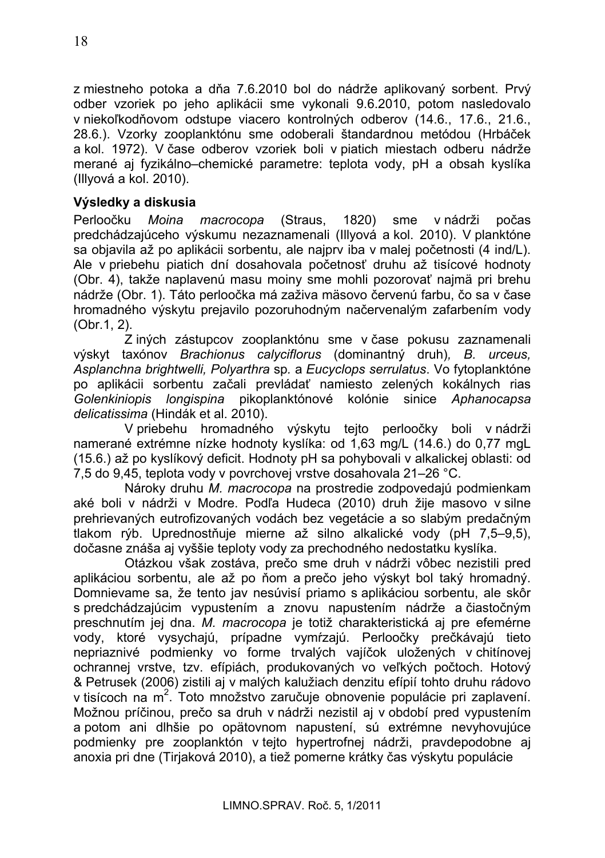z miestneho potoka a dňa 7.6.2010 bol do nádrže aplikovaný sorbent. Prvý odber vzoriek po jeho aplikácii sme vykonali 9.6.2010, potom nasledovalo v niekoľkodňovom odstupe viacero kontrolných odberov (14.6., 17.6., 21.6., 28.6.). Vzorky zooplanktónu sme odoberali štandardnou metódou (Hrbáček a kol. 1972). V čase odberov vzoriek boli v piatich miestach odberu nádrže merané aj fyzikálno-chemické parametre: teplota vody, pH a obsah kyslíka (Illvová a kol. 2010).

### Výsledky a diskusia

Perloočku Moina macrocopa (Straus, 1820) sme v nádrži nočas predchádzajúceho výskumu nezaznamenali (Illvová a kol. 2010). V planktóne sa objavila až po aplikácii sorbentu, ale najprv iba v malej početnosti (4 ind/L). Ale v priebehu piatich dní dosahovala početnosť druhu až tisícové hodnoty (Obr. 4), takže naplavenú masu moiny sme mohli pozorovať najmä pri brehu nádrže (Obr. 1). Táto perloočka má zaživa mäsovo červenú farbu, čo sa v čase hromadného výskytu prejavilo pozoruhodným načervenalým zafarbením vody (Obr.1, 2).

Z iných zástupcov zooplanktónu sme v čase pokusu zaznamenali výskyt taxónov Brachionus calyciflorus (dominantný druh), B. urceus, Asplanchna brightwelli, Polyarthra sp. a Eucyclops serrulatus. Vo fytoplanktóne po aplikácii sorbentu začali prevládať namiesto zelených kokálnych rias Golenkiniopis longispina pikoplanktónové kolónie sinice Aphanocapsa delicatissima (Hindák et al. 2010).

V priebehu hromadného výskytu tejto perloočky boli v nádrži namerané extrémne nízke hodnoty kyslíka: od 1,63 mg/L (14.6.) do 0,77 mgL (15.6.) až po kyslíkový deficit. Hodnoty pH sa pohybovali v alkalickej oblasti: od 7.5 do 9.45, teplota vody y povrchovej vrstve dosahovala 21–26 °C.

Nároky druhu M. macrocopa na prostredie zodpovedajú podmienkam aké boli v nádrži v Modre. Podľa Hudeca (2010) druh žije masovo v silne prehrievaných eutrofizovaných vodách bez vegetácie a so slabým predačným tlakom rýb. Uprednostňuje mierne až silno alkalické vody (pH 7,5–9,5), dočasne znáša aj vyššie teploty vody za prechodného nedostatku kyslíka.

Otázkou však zostáva, prečo sme druh v nádrži vôbec nezistili pred aplikáciou sorbentu, ale až po ňom a prečo jeho výskyt bol taký hromadný. Domnievame sa. že tento jav nesúvisí priamo s aplikáciou sorbentu, ale skôr s predchádzajúcim vypustením a znovu napustením nádrže a čiastočným preschnutím jej dna. M. macrocopa je totiž charakteristická aj pre efemérne vody. ktoré vysvchajú, prípadne vymŕzajú. Perloočky prečkávajú tieto nepriaznivé podmienky vo forme trvalých vajíčok uložených v chitínovej ochrannej vrstve, tzv. efípiách, produkovaných vo veľkých počtoch. Hotový & Petrusek (2006) zistili ai v malých kalužiach denzitu efípií tohto druhu rádovo v tisícoch na m<sup>2</sup>. Toto množstvo zaručuje obnovenie populácie pri zaplavení. Možnou príčinou, prečo sa druh v nádrži nezistil aj v období pred vypustením a potom ani dlhšie po opätovnom napustení, sú extrémne nevyhovujúce podmienky pre zooplanktón v tejto hypertrofnej nádrži, pravdepodobne aj anoxia pri dne (Tiriaková 2010), a tiež pomerne krátky čas výskytu populácie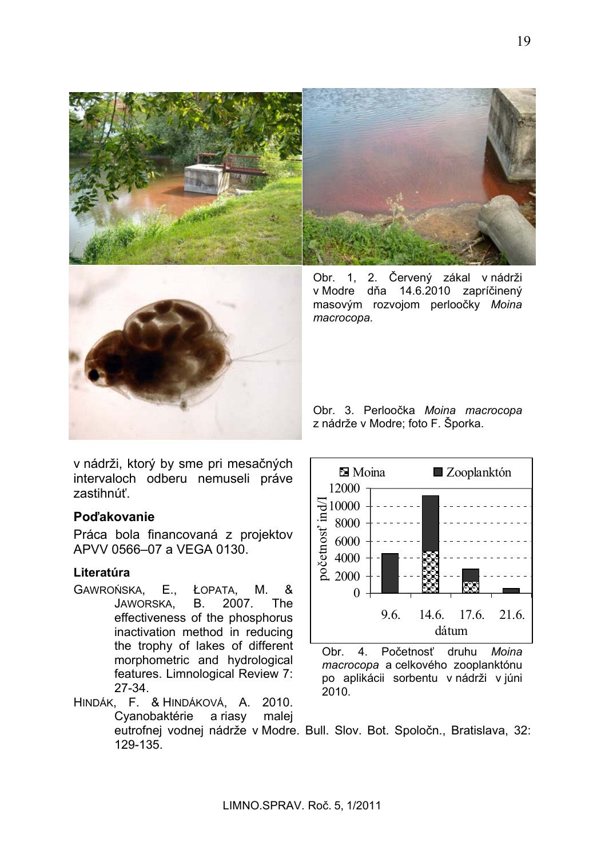



Obr. 1, 2. Červený zákal v nádrži v Modre dňa 14.6.2010 zapríčinený masovým rozvojom perloočky Moina macrocopa.

Obr. 3. Perloočka Moina macrocopa z nádrže v Modre; foto F. Šporka.

v nádrži, ktorý by sme pri mesačných intervaloch odberu nemuseli práve zastihnúť.

#### Poďakovanie

Práca bola financovaná z projektov APVV 0566-07 a VFGA 0130.

#### Literatúra

- ŁOPATA, GAWROŃSKA, E., & М. JAWORSKA. **B.** 2007. The effectiveness of the phosphorus inactivation method in reducing the trophy of lakes of different morphometric and hydrological features. Limnological Review 7:  $27-34.$
- HINDÁK, F. & HINDÁKOVÁ, A. 2010. Cyanobaktérie a riasy malej eutrofnej vodnej nádrže v Modre. Bull. Slov. Bot. Spoločn., Bratislava, 32: 129-135



Obr.  $4.$ Početnosť druhu Moina macrocopa a celkového zooplanktónu po aplikácii sorbentu v nádrži v júni 2010.